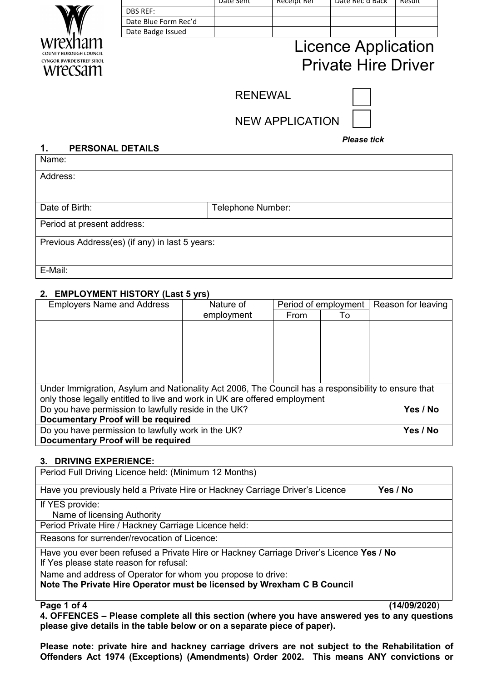| wrexnam                         |
|---------------------------------|
| COUNTY BOROUGH COUNCIL          |
| <b>CYNGOR BWRDEISTREF SIROL</b> |
| vre<br>CSAMI                    |

|                      | Date Sent | <b>RECEIDT RET</b> | <b>Date Rec d Back</b> | Result |
|----------------------|-----------|--------------------|------------------------|--------|
| <b>DBS REF:</b>      |           |                    |                        |        |
| Date Blue Form Rec'd |           |                    |                        |        |
| Date Badge Issued    |           |                    |                        |        |

# Licence Application Private Hire Driver

**RENEWAL** 

*Please tick*

NEW APPLICATION

### **1. PERSONAL DETAILS**

Name:

Address:

Date of Birth:  $\vert$  Telephone Number:

Period at present address:

Previous Address(es) (if any) in last 5 years:

E-Mail:

## **2. EMPLOYMENT HISTORY (Last 5 yrs)**

| <b>Employers Name and Address</b>                                                                   | Nature of  | Period of employment |    | Reason for leaving |
|-----------------------------------------------------------------------------------------------------|------------|----------------------|----|--------------------|
|                                                                                                     | employment | From                 | To |                    |
|                                                                                                     |            |                      |    |                    |
|                                                                                                     |            |                      |    |                    |
|                                                                                                     |            |                      |    |                    |
|                                                                                                     |            |                      |    |                    |
|                                                                                                     |            |                      |    |                    |
|                                                                                                     |            |                      |    |                    |
| Under Immigration, Asylum and Nationality Act 2006, The Council has a responsibility to ensure that |            |                      |    |                    |
| only those legally entitled to live and work in UK are offered employment                           |            |                      |    |                    |
| Do you have permission to lawfully reside in the UK?                                                |            |                      |    | Yes / No           |
| Documentary Proof will be required                                                                  |            |                      |    |                    |
| Do you have permission to lawfully work in the UK?                                                  |            |                      |    | Yes / No           |
| Documentary Proof will be required                                                                  |            |                      |    |                    |

## **3. DRIVING EXPERIENCE:**

Period Full Driving Licence held: (Minimum 12 Months)

Have you previously held a Private Hire or Hackney Carriage Driver's Licence **Yes / No**

If YES provide:

Name of licensing Authority

Period Private Hire / Hackney Carriage Licence held:

Reasons for surrender/revocation of Licence:

Have you ever been refused a Private Hire or Hackney Carriage Driver's Licence **Yes / No** If Yes please state reason for refusal:

Name and address of Operator for whom you propose to drive:

**Note The Private Hire Operator must be licensed by Wrexham C B Council**

**Page 1 of 4 (14/09/2020**)

**4. OFFENCES – Please complete all this section (where you have answered yes to any questions please give details in the table below or on a separate piece of paper).**

**Please note: private hire and hackney carriage drivers are not subject to the Rehabilitation of Offenders Act 1974 (Exceptions) (Amendments) Order 2002. This means ANY convictions or**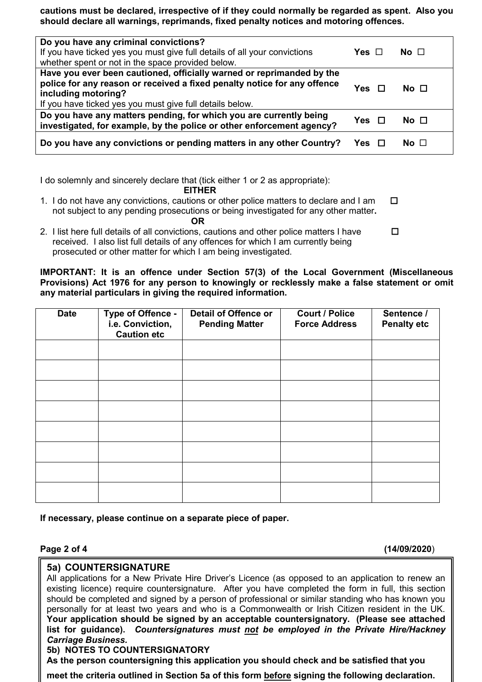**cautions must be declared, irrespective of if they could normally be regarded as spent. Also you should declare all warnings, reprimands, fixed penalty notices and motoring offences.**

| Do you have any criminal convictions?<br>If you have ticked yes you must give full details of all your convictions<br>whether spent or not in the space provided below.                                                              | Yes $\Box$ | No ⊟         |
|--------------------------------------------------------------------------------------------------------------------------------------------------------------------------------------------------------------------------------------|------------|--------------|
| Have you ever been cautioned, officially warned or reprimanded by the<br>police for any reason or received a fixed penalty notice for any offence<br>including motoring?<br>If you have ticked yes you must give full details below. | <b>Yes</b> | No $\Box$    |
| Do you have any matters pending, for which you are currently being<br>investigated, for example, by the police or other enforcement agency?                                                                                          | Yes   ⊡    | No $\Box$    |
| Do you have any convictions or pending matters in any other Country?                                                                                                                                                                 |            | No $\square$ |

I do solemnly and sincerely declare that (tick either 1 or 2 as appropriate):

 **EITHER**

- 1. I do not have any convictions, cautions or other police matters to declare and I am  $\square$  not subject to any pending prosecutions or being investigated for any other matter**.**   *OR* OR
- 2. I list here full details of all convictions, cautions and other police matters I have  $\Box$  received. I also list full details of any offences for which I am currently being prosecuted or other matter for which I am being investigated.

**IMPORTANT: It is an offence under Section 57(3) of the Local Government (Miscellaneous Provisions) Act 1976 for any person to knowingly or recklessly make a false statement or omit any material particulars in giving the required information.**

| <b>Date</b> | Type of Offence -<br>i.e. Conviction,<br><b>Caution etc</b> | <b>Detail of Offence or</b><br><b>Pending Matter</b> | <b>Court / Police</b><br><b>Force Address</b> | Sentence /<br><b>Penalty etc</b> |
|-------------|-------------------------------------------------------------|------------------------------------------------------|-----------------------------------------------|----------------------------------|
|             |                                                             |                                                      |                                               |                                  |
|             |                                                             |                                                      |                                               |                                  |
|             |                                                             |                                                      |                                               |                                  |
|             |                                                             |                                                      |                                               |                                  |
|             |                                                             |                                                      |                                               |                                  |
|             |                                                             |                                                      |                                               |                                  |
|             |                                                             |                                                      |                                               |                                  |
|             |                                                             |                                                      |                                               |                                  |

### **If necessary, please continue on a separate piece of paper.**

**Page 2 of 4 (14/09/2020**)

## **5a) COUNTERSIGNATURE**

All applications for a New Private Hire Driver's Licence (as opposed to an application to renew an existing licence) require countersignature. After you have completed the form in full, this section should be completed and signed by a person of professional or similar standing who has known you personally for at least two years and who is a Commonwealth or Irish Citizen resident in the UK. **Your application should be signed by an acceptable countersignatory. (Please see attached list for guidance).** *Countersignatures must not be employed in the Private Hire/Hackney Carriage Business.*

## **5b) NOTES TO COUNTERSIGNATORY**

**As the person countersigning this application you should check and be satisfied that you** 

**meet the criteria outlined in Section 5a of this form before signing the following declaration.**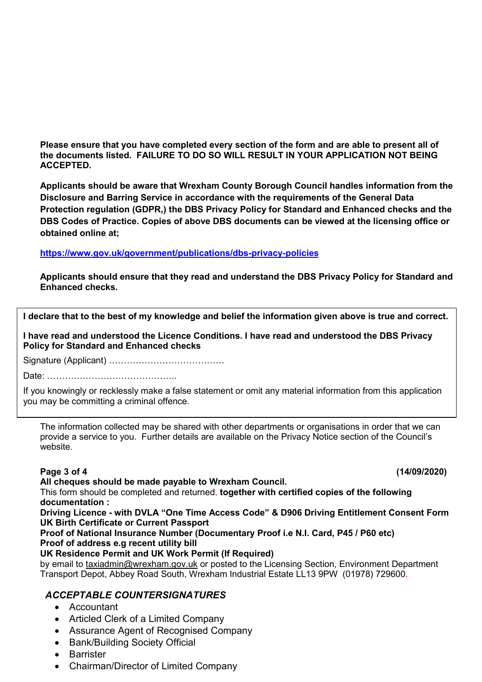**Please ensure that you have completed every section of the form and are able to present all of the documents listed. FAILURE TO DO SO WILL RESULT IN YOUR APPLICATION NOT BEING ACCEPTED.**

**Applicants should be aware that Wrexham County Borough Council handles information from the Disclosure and Barring Service in accordance with the requirements of the General Data Protection regulation (GDPR,) the DBS Privacy Policy for Standard and Enhanced checks and the DBS Codes of Practice. Copies of above DBS documents can be viewed at the licensing office or obtained online at;** 

### **<https://www.gov.uk/government/publications/dbs-privacy-policies>**

**Applicants should ensure that they read and understand the DBS Privacy Policy for Standard and Enhanced checks.** 

**I declare that to the best of my knowledge and belief the information given above is true and correct.**

**I have read and understood the Licence Conditions. I have read and understood the DBS Privacy Policy for Standard and Enhanced checks**

Signature (Applicant) …………………………………

Date: ……………………………………..

If you knowingly or recklessly make a false statement or omit any material information from this application you may be committing a criminal offence.

The information collected may be shared with other departments or organisations in order that we can provide a service to you. Further details are available on the Privacy Notice section of the Council's website.

**Page 3 of 4 (14/09/2020)** 

### **All cheques should be made payable to Wrexham Council.**

This form should be completed and returned, **together with certified copies of the following documentation :** 

**Driving Licence - with DVLA "One Time Access Code" & D906 Driving Entitlement Consent Form UK Birth Certificate or Current Passport**

### **Proof of National Insurance Number (Documentary Proof i.e N.I. Card, P45 / P60 etc) Proof of address e.g recent utility bill**

## **UK Residence Permit and UK Work Permit (If Required)**

by email to [taxiadmin@wrexham.gov.uk](mailto:taxiadmin@wrexham.gov.uk) or posted to the Licensing Section, Environment Department Transport Depot, Abbey Road South, Wrexham Industrial Estate LL13 9PW (01978) 729600.

# *ACCEPTABLE COUNTERSIGNATURES*

- Accountant
- Articled Clerk of a Limited Company
- Assurance Agent of Recognised Company
- Bank/Building Society Official
- **Barrister**
- Chairman/Director of Limited Company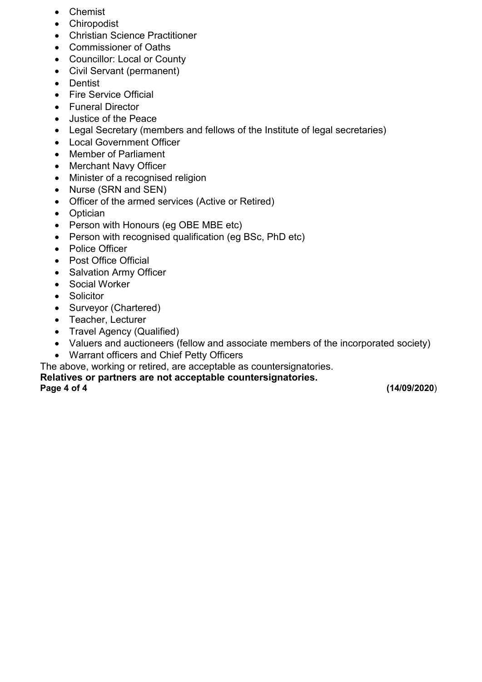- Chemist
- Chiropodist
- Christian Science Practitioner
- Commissioner of Oaths
- Councillor: Local or County
- Civil Servant (permanent)
- Dentist
- Fire Service Official
- Funeral Director
- Justice of the Peace
- Legal Secretary (members and fellows of the Institute of legal secretaries)
- Local Government Officer
- Member of Parliament
- Merchant Navy Officer
- Minister of a recognised religion
- Nurse (SRN and SEN)
- Officer of the armed services (Active or Retired)
- Optician
- Person with Honours (eg OBE MBE etc)
- Person with recognised qualification (eg BSc, PhD etc)
- Police Officer
- Post Office Official
- Salvation Army Officer
- Social Worker
- Solicitor
- Surveyor (Chartered)
- Teacher, Lecturer
- Travel Agency (Qualified)
- Valuers and auctioneers (fellow and associate members of the incorporated society)
- Warrant officers and Chief Petty Officers
- The above, working or retired, are acceptable as countersignatories.

**Relatives or partners are not acceptable countersignatories.**

**Page 4 of 4 (14/09/2020**)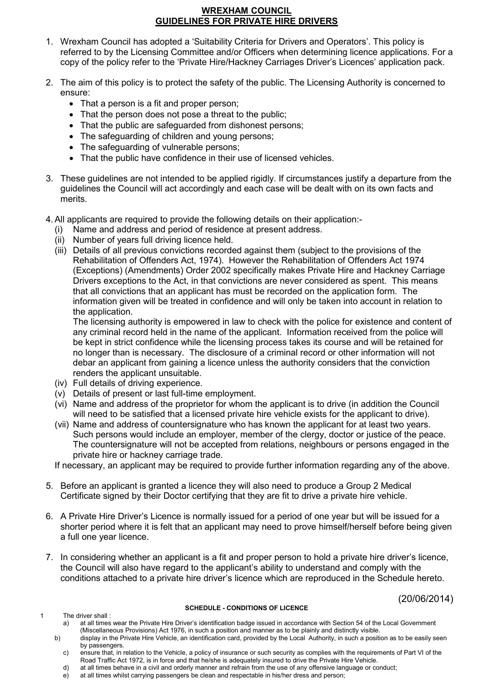### **WREXHAM COUNCIL GUIDELINES FOR PRIVATE HIRE DRIVERS**

- 1. Wrexham Council has adopted a 'Suitability Criteria for Drivers and Operators'. This policy is referred to by the Licensing Committee and/or Officers when determining licence applications. For a copy of the policy refer to the 'Private Hire/Hackney Carriages Driver's Licences' application pack.
- 2. The aim of this policy is to protect the safety of the public. The Licensing Authority is concerned to ensure:
	- That a person is a fit and proper person;
	- That the person does not pose a threat to the public;
	- That the public are safeguarded from dishonest persons;
	- The safeguarding of children and young persons;
	- The safeguarding of vulnerable persons;
	- That the public have confidence in their use of licensed vehicles.
- 3. These guidelines are not intended to be applied rigidly. If circumstances justify a departure from the guidelines the Council will act accordingly and each case will be dealt with on its own facts and merits.
- 4.All applicants are required to provide the following details on their application:-
	- (i) Name and address and period of residence at present address.
	- (ii) Number of years full driving licence held.
	- (iii) Details of all previous convictions recorded against them (subject to the provisions of the Rehabilitation of Offenders Act, 1974). However the Rehabilitation of Offenders Act 1974 (Exceptions) (Amendments) Order 2002 specifically makes Private Hire and Hackney Carriage Drivers exceptions to the Act, in that convictions are never considered as spent. This means that all convictions that an applicant has must be recorded on the application form. The information given will be treated in confidence and will only be taken into account in relation to the application.

The licensing authority is empowered in law to check with the police for existence and content of any criminal record held in the name of the applicant. Information received from the police will be kept in strict confidence while the licensing process takes its course and will be retained for no longer than is necessary. The disclosure of a criminal record or other information will not debar an applicant from gaining a licence unless the authority considers that the conviction renders the applicant unsuitable.

- (iv) Full details of driving experience.
- (v) Details of present or last full-time employment.
- (vi) Name and address of the proprietor for whom the applicant is to drive (in addition the Council will need to be satisfied that a licensed private hire vehicle exists for the applicant to drive).
- (vii) Name and address of countersignature who has known the applicant for at least two years. Such persons would include an employer, member of the clergy, doctor or justice of the peace. The countersignature will not be accepted from relations, neighbours or persons engaged in the private hire or hackney carriage trade.

If necessary, an applicant may be required to provide further information regarding any of the above.

- 5. Before an applicant is granted a licence they will also need to produce a Group 2 Medical Certificate signed by their Doctor certifying that they are fit to drive a private hire vehicle.
- 6. A Private Hire Driver's Licence is normally issued for a period of one year but will be issued for a shorter period where it is felt that an applicant may need to prove himself/herself before being given a full one year licence.
- 7. In considering whether an applicant is a fit and proper person to hold a private hire driver's licence, the Council will also have regard to the applicant's ability to understand and comply with the conditions attached to a private hire driver's licence which are reproduced in the Schedule hereto.

(20/06/2014)

1 The driver shall :

### **SCHEDULE - CONDITIONS OF LICENCE**

- 
- a) at all times wear the Private Hire Driver's identification badge issued in accordance with Section 54 of the Local Government (Miscellaneous Provisions) Act 1976, in such a position and manner as to be plainly and distinctly visible. b) display in the Private Hire Vehicle, an identification card, provided by the Local Authority, in such a position as to be easily seen
	- by passengers.
	- c) ensure that, in relation to the Vehicle, a policy of insurance or such security as complies with the requirements of Part VI of the Road Traffic Act 1972, is in force and that he/she is adequately insured to drive the Private Hire Vehicle.
	- d) at all times behave in a civil and orderly manner and refrain from the use of any offensive language or conduct;
	- e) at all times whilst carrying passengers be clean and respectable in his/her dress and person;